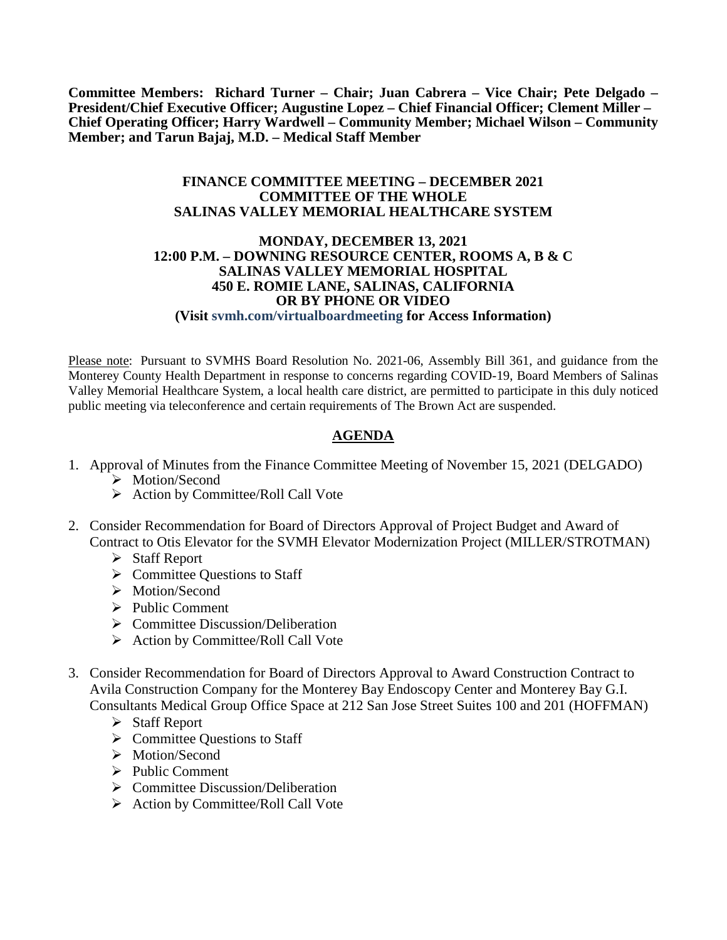**Committee Members: Richard Turner – Chair; Juan Cabrera – Vice Chair; Pete Delgado – President/Chief Executive Officer; Augustine Lopez – Chief Financial Officer; Clement Miller – Chief Operating Officer; Harry Wardwell – Community Member; Michael Wilson – Community Member; and Tarun Bajaj, M.D. – Medical Staff Member**

#### **FINANCE COMMITTEE MEETING – DECEMBER 2021 COMMITTEE OF THE WHOLE SALINAS VALLEY MEMORIAL HEALTHCARE SYSTEM**

#### **MONDAY, DECEMBER 13, 2021 12:00 P.M. – DOWNING RESOURCE CENTER, ROOMS A, B & C SALINAS VALLEY MEMORIAL HOSPITAL 450 E. ROMIE LANE, SALINAS, CALIFORNIA OR BY PHONE OR VIDEO (Visit svmh.com/virtualboardmeeting for Access Information)**

Please note: Pursuant to SVMHS Board Resolution No. 2021-06, Assembly Bill 361, and guidance from the Monterey County Health Department in response to concerns regarding COVID-19, Board Members of Salinas Valley Memorial Healthcare System, a local health care district, are permitted to participate in this duly noticed public meeting via teleconference and certain requirements of The Brown Act are suspended.

## **AGENDA**

- 1. Approval of Minutes from the Finance Committee Meeting of November 15, 2021 (DELGADO)
	- > Motion/Second
	- $\triangleright$  Action by Committee/Roll Call Vote
- 2. Consider Recommendation for Board of Directors Approval of Project Budget and Award of Contract to Otis Elevator for the SVMH Elevator Modernization Project (MILLER/STROTMAN)
	- $\triangleright$  Staff Report
	- $\triangleright$  Committee Questions to Staff
	- > Motion/Second
	- $\triangleright$  Public Comment
	- $\triangleright$  Committee Discussion/Deliberation
	- $\triangleright$  Action by Committee/Roll Call Vote
- 3. Consider Recommendation for Board of Directors Approval to Award Construction Contract to Avila Construction Company for the Monterey Bay Endoscopy Center and Monterey Bay G.I. Consultants Medical Group Office Space at 212 San Jose Street Suites 100 and 201 (HOFFMAN)
	- $\triangleright$  Staff Report
	- $\triangleright$  Committee Questions to Staff
	- > Motion/Second
	- $\triangleright$  Public Comment
	- $\triangleright$  Committee Discussion/Deliberation
	- $\triangleright$  Action by Committee/Roll Call Vote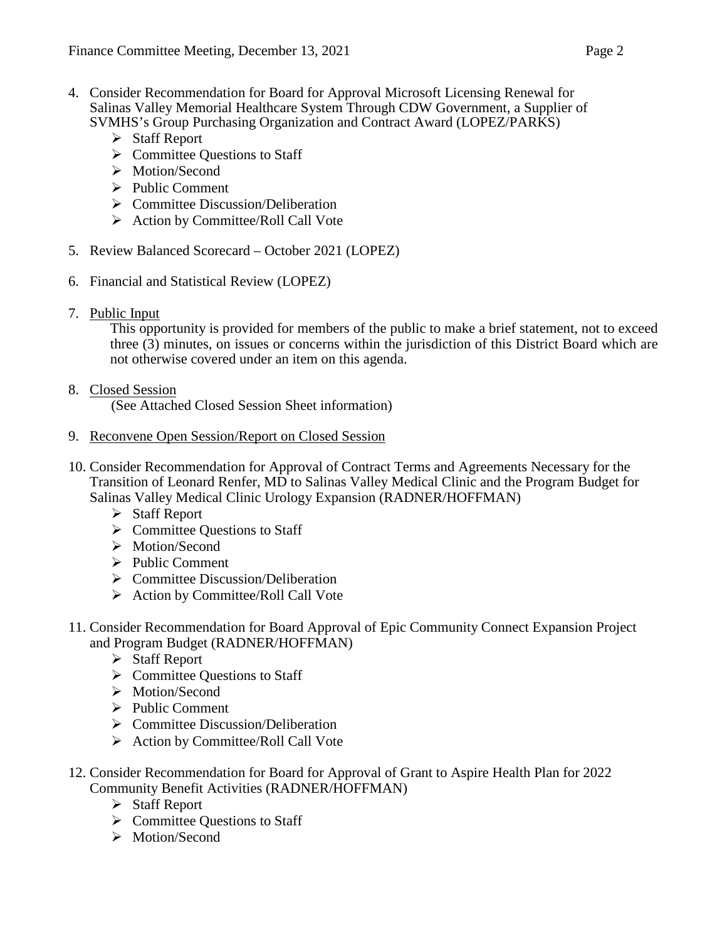- 4. Consider Recommendation for Board for Approval Microsoft Licensing Renewal for Salinas Valley Memorial Healthcare System Through CDW Government, a Supplier of SVMHS's Group Purchasing Organization and Contract Award (LOPEZ/PARKS)
	- $\triangleright$  Staff Report
	- $\triangleright$  Committee Ouestions to Staff
	- > Motion/Second
	- $\triangleright$  Public Comment
	- $\triangleright$  Committee Discussion/Deliberation
	- $\triangleright$  Action by Committee/Roll Call Vote
- 5. Review Balanced Scorecard October 2021 (LOPEZ)
- 6. Financial and Statistical Review (LOPEZ)
- 7. Public Input

This opportunity is provided for members of the public to make a brief statement, not to exceed three (3) minutes, on issues or concerns within the jurisdiction of this District Board which are not otherwise covered under an item on this agenda.

### 8. Closed Session

(See Attached Closed Session Sheet information)

- 9. Reconvene Open Session/Report on Closed Session
- 10. Consider Recommendation for Approval of Contract Terms and Agreements Necessary for the Transition of Leonard Renfer, MD to Salinas Valley Medical Clinic and the Program Budget for Salinas Valley Medical Clinic Urology Expansion (RADNER/HOFFMAN)
	- Staff Report
	- $\triangleright$  Committee Questions to Staff
	- > Motion/Second
	- $\triangleright$  Public Comment
	- $\triangleright$  Committee Discussion/Deliberation
	- $\triangleright$  Action by Committee/Roll Call Vote
- 11. Consider Recommendation for Board Approval of Epic Community Connect Expansion Project and Program Budget (RADNER/HOFFMAN)
	- $\triangleright$  Staff Report
	- $\triangleright$  Committee Questions to Staff
	- > Motion/Second
	- $\triangleright$  Public Comment
	- $\triangleright$  Committee Discussion/Deliberation
	- $\triangleright$  Action by Committee/Roll Call Vote
- 12. Consider Recommendation for Board for Approval of Grant to Aspire Health Plan for 2022 Community Benefit Activities (RADNER/HOFFMAN)
	- $\triangleright$  Staff Report
	- $\triangleright$  Committee Questions to Staff
	- > Motion/Second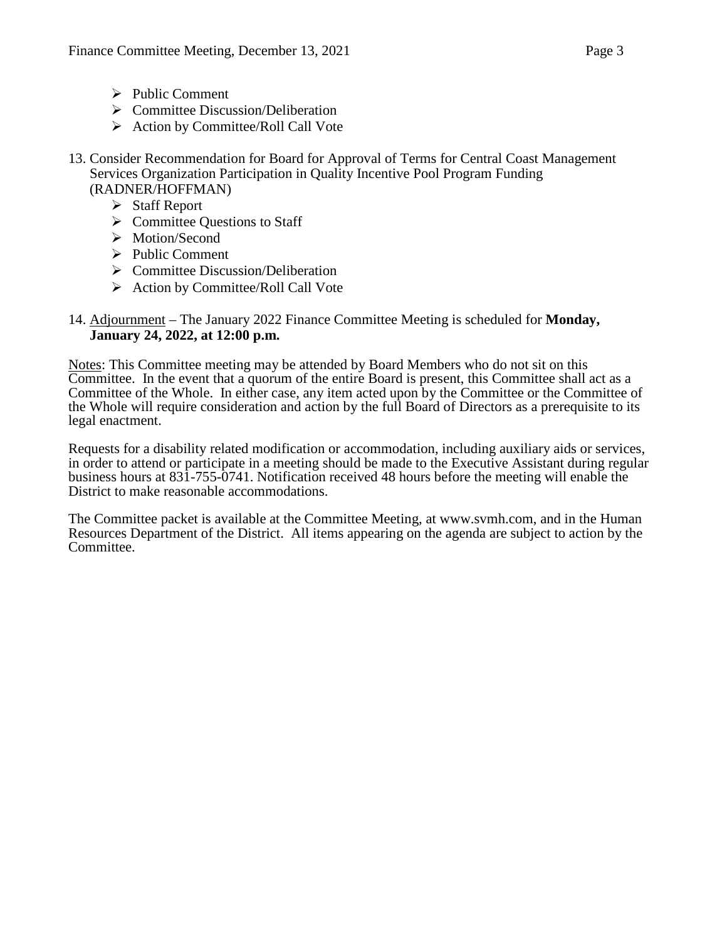- $\triangleright$  Public Comment
- $\triangleright$  Committee Discussion/Deliberation
- $\triangleright$  Action by Committee/Roll Call Vote
- 13. Consider Recommendation for Board for Approval of Terms for Central Coast Management Services Organization Participation in Quality Incentive Pool Program Funding (RADNER/HOFFMAN)
	- $\triangleright$  Staff Report
	- $\triangleright$  Committee Questions to Staff
	- > Motion/Second
	- $\triangleright$  Public Comment
	- $\triangleright$  Committee Discussion/Deliberation
	- $\triangleright$  Action by Committee/Roll Call Vote

#### 14. Adjournment – The January 2022 Finance Committee Meeting is scheduled for **Monday, January 24, 2022, at 12:00 p.m.**

Notes: This Committee meeting may be attended by Board Members who do not sit on this Committee. In the event that a quorum of the entire Board is present, this Committee shall act as a Committee of the Whole. In either case, any item acted upon by the Committee or the Committee of the Whole will require consideration and action by the full Board of Directors as a prerequisite to its legal enactment.

Requests for a disability related modification or accommodation, including auxiliary aids or services, in order to attend or participate in a meeting should be made to the Executive Assistant during regular business hours at 831-755-0741. Notification received 48 hours before the meeting will enable the District to make reasonable accommodations.

The Committee packet is available at the Committee Meeting, at www.svmh.com, and in the Human Resources Department of the District. All items appearing on the agenda are subject to action by the Committee.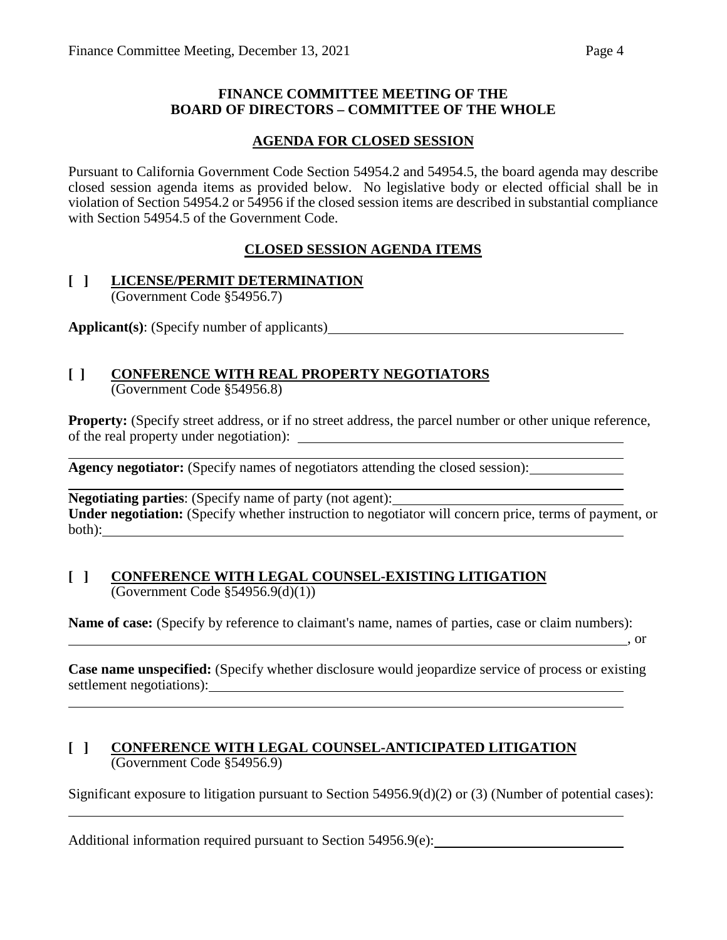#### **FINANCE COMMITTEE MEETING OF THE BOARD OF DIRECTORS – COMMITTEE OF THE WHOLE**

### **AGENDA FOR CLOSED SESSION**

Pursuant to California Government Code Section 54954.2 and 54954.5, the board agenda may describe closed session agenda items as provided below. No legislative body or elected official shall be in violation of Section 54954.2 or 54956 if the closed session items are described in substantial compliance with Section 54954.5 of the Government Code.

## **CLOSED SESSION AGENDA ITEMS**

#### **[ ] LICENSE/PERMIT DETERMINATION** (Government Code §54956.7)

**Applicant(s)**: (Specify number of applicants)

# **[ ] CONFERENCE WITH REAL PROPERTY NEGOTIATORS**

(Government Code §54956.8)

**Property:** (Specify street address, or if no street address, the parcel number or other unique reference, of the real property under negotiation):

**Agency negotiator:** (Specify names of negotiators attending the closed session):

**Negotiating parties**: (Specify name of party (not agent): **Under negotiation:** (Specify whether instruction to negotiator will concern price, terms of payment, or both): where the contract of the contract of the contract of the contract of the contract of the contract of the contract of the contract of the contract of the contract of the contract of the contract of the contract of t

#### **[ ] CONFERENCE WITH LEGAL COUNSEL-EXISTING LITIGATION**  $\overline{(Government Code §54956.9(d)(1))}$

**Name of case:** (Specify by reference to claimant's name, names of parties, case or claim numbers):

, or

**Case name unspecified:** (Specify whether disclosure would jeopardize service of process or existing settlement negotiations):

#### **[ ] CONFERENCE WITH LEGAL COUNSEL-ANTICIPATED LITIGATION** (Government Code §54956.9)

Significant exposure to litigation pursuant to Section 54956.9(d)(2) or (3) (Number of potential cases):

Additional information required pursuant to Section 54956.9(e):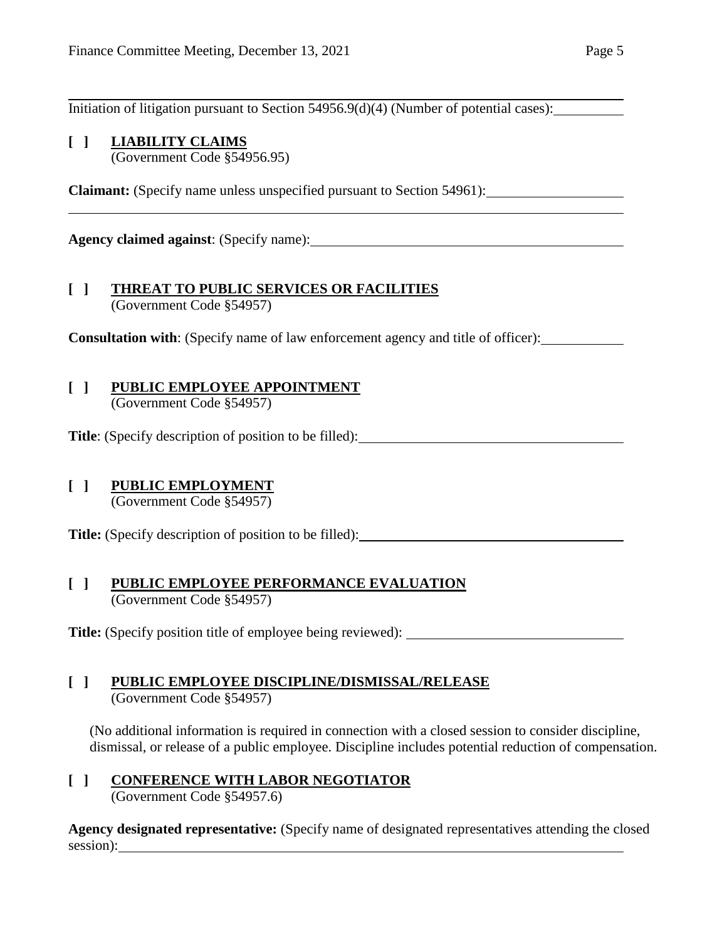Initiation of litigation pursuant to Section 54956.9(d)(4) (Number of potential cases):

# **[ ] LIABILITY CLAIMS**

(Government Code §54956.95)

**Claimant:** (Specify name unless unspecified pursuant to Section 54961):

**Agency claimed against**: (Specify name):

#### **[ ] THREAT TO PUBLIC SERVICES OR FACILITIES** (Government Code §54957)

**Consultation with**: (Specify name of law enforcement agency and title of officer):

# **[ ] PUBLIC EMPLOYEE APPOINTMENT**

(Government Code §54957)

**Title**: (Specify description of position to be filled):

# **[ ] PUBLIC EMPLOYMENT**

(Government Code §54957)

**Title:** (Specify description of position to be filled):

#### **[ ] PUBLIC EMPLOYEE PERFORMANCE EVALUATION** (Government Code §54957)

**Title:** (Specify position title of employee being reviewed):

#### **[ ] PUBLIC EMPLOYEE DISCIPLINE/DISMISSAL/RELEASE** (Government Code §54957)

(No additional information is required in connection with a closed session to consider discipline, dismissal, or release of a public employee. Discipline includes potential reduction of compensation.

# **[ ] CONFERENCE WITH LABOR NEGOTIATOR**

(Government Code §54957.6)

**Agency designated representative:** (Specify name of designated representatives attending the closed session):